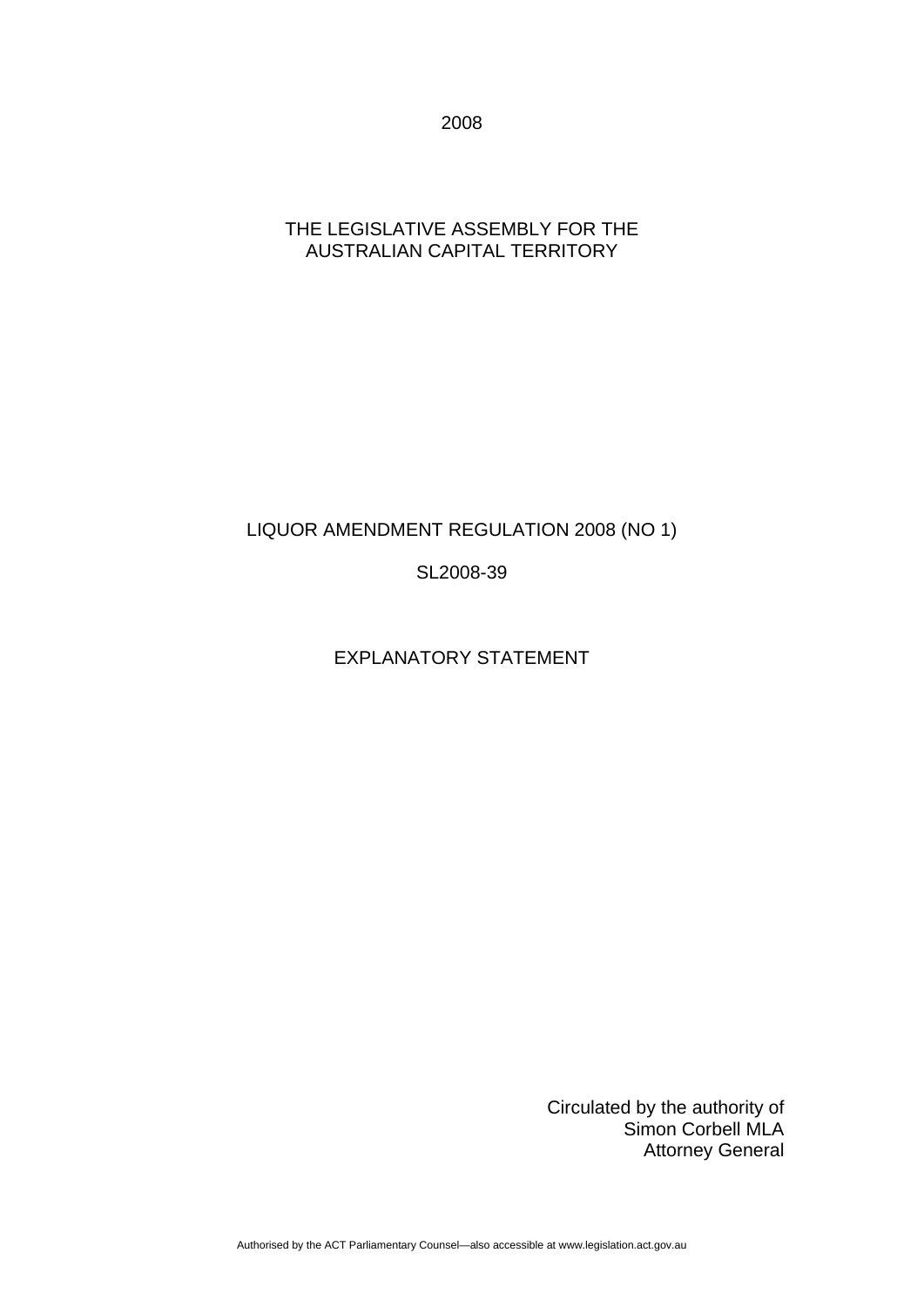2008

### THE LEGISLATIVE ASSEMBLY FOR THE AUSTRALIAN CAPITAL TERRITORY

## LIQUOR AMENDMENT REGULATION 2008 (NO 1)

SL2008-39

## EXPLANATORY STATEMENT

Circulated by the authority of Simon Corbell MLA Attorney General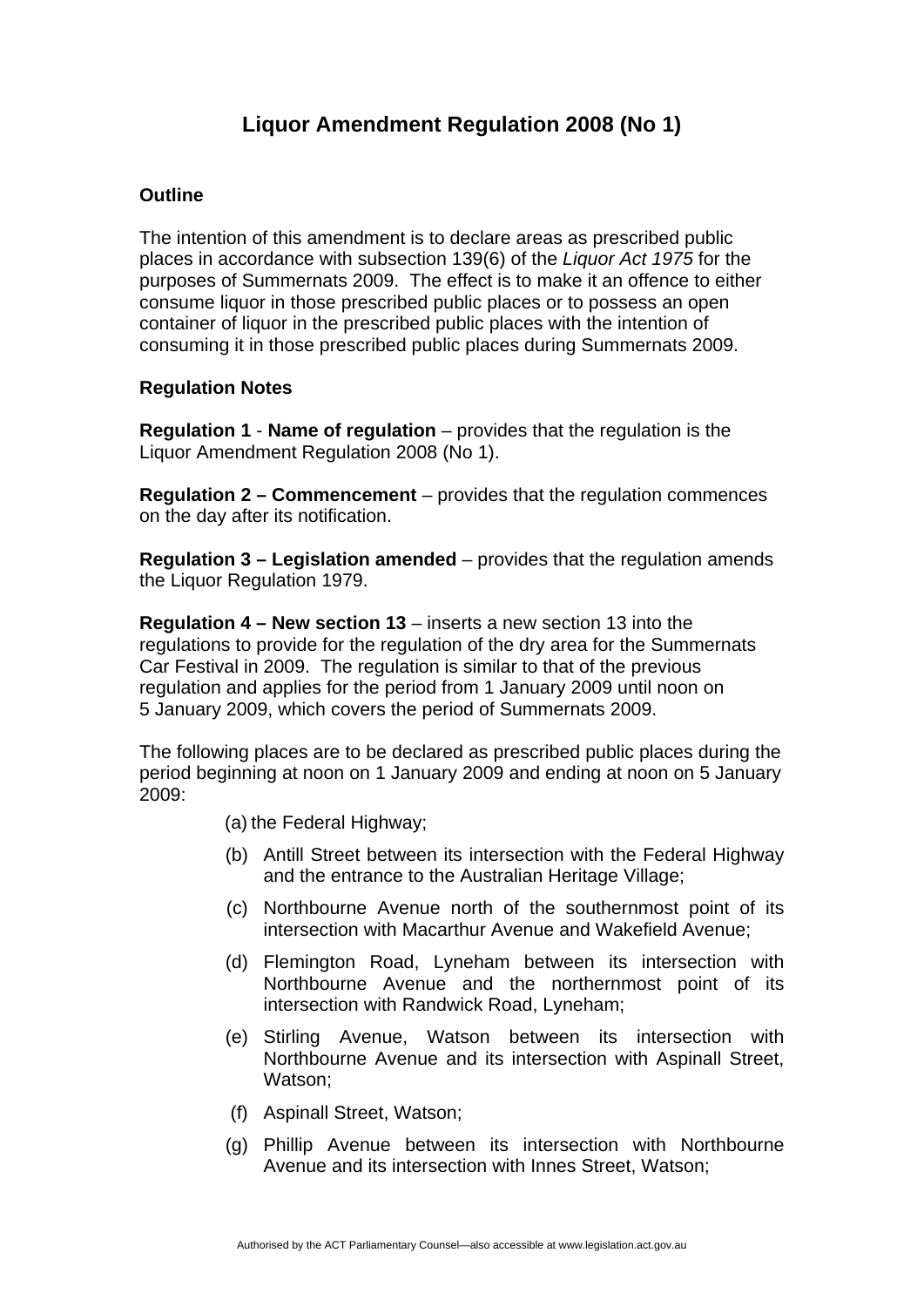# **Liquor Amendment Regulation 2008 (No 1)**

### **Outline**

The intention of this amendment is to declare areas as prescribed public places in accordance with subsection 139(6) of the *Liquor Act 1975* for the purposes of Summernats 2009. The effect is to make it an offence to either consume liquor in those prescribed public places or to possess an open container of liquor in the prescribed public places with the intention of consuming it in those prescribed public places during Summernats 2009.

#### **Regulation Notes**

**Regulation 1** - **Name of regulation** – provides that the regulation is the Liquor Amendment Regulation 2008 (No 1).

**Regulation 2 – Commencement** – provides that the regulation commences on the day after its notification.

**Regulation 3 – Legislation amended** – provides that the regulation amends the Liquor Regulation 1979.

**Regulation 4 – New section 13** – inserts a new section 13 into the regulations to provide for the regulation of the dry area for the Summernats Car Festival in 2009. The regulation is similar to that of the previous regulation and applies for the period from 1 January 2009 until noon on 5 January 2009, which covers the period of Summernats 2009.

The following places are to be declared as prescribed public places during the period beginning at noon on 1 January 2009 and ending at noon on 5 January 2009:

- (a) the Federal Highway;
- (b) Antill Street between its intersection with the Federal Highway and the entrance to the Australian Heritage Village;
- (c) Northbourne Avenue north of the southernmost point of its intersection with Macarthur Avenue and Wakefield Avenue;
- (d) Flemington Road, Lyneham between its intersection with Northbourne Avenue and the northernmost point of its intersection with Randwick Road, Lyneham;
- (e) Stirling Avenue, Watson between its intersection with Northbourne Avenue and its intersection with Aspinall Street, Watson:
- (f) Aspinall Street, Watson;
- (g) Phillip Avenue between its intersection with Northbourne Avenue and its intersection with Innes Street, Watson;